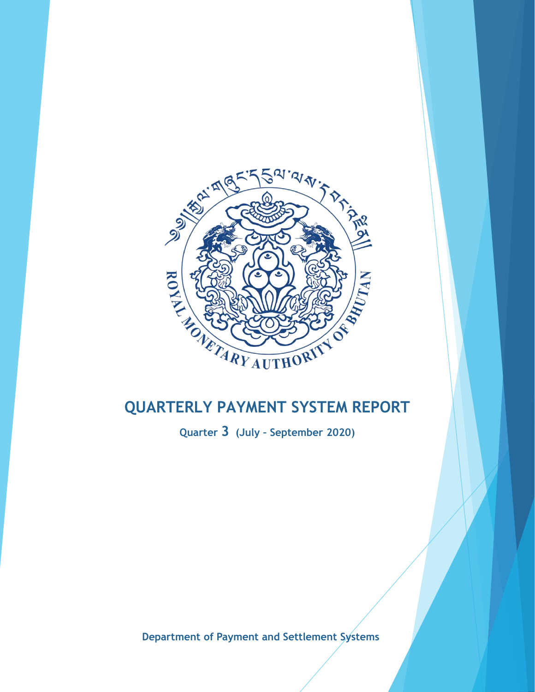

**Quarter 3 (July – September 2020)**

**Department of Payment and Settlement Systems**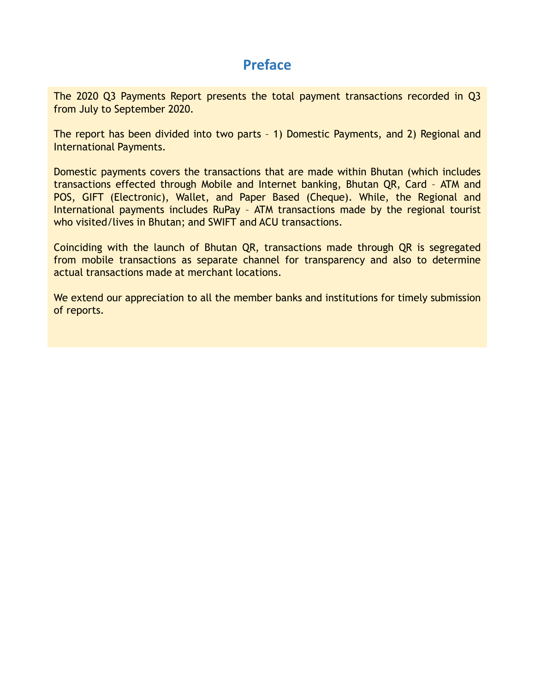## **Preface**

The 2020 Q3 Payments Report presents the total payment transactions recorded in Q3 from July to September 2020.

The report has been divided into two parts – 1) Domestic Payments, and 2) Regional and International Payments.

Domestic payments covers the transactions that are made within Bhutan (which includes transactions effected through Mobile and Internet banking, Bhutan QR, Card – ATM and POS, GIFT (Electronic), Wallet, and Paper Based (Cheque). While, the Regional and International payments includes RuPay – ATM transactions made by the regional tourist who visited/lives in Bhutan; and SWIFT and ACU transactions.

Coinciding with the launch of Bhutan QR, transactions made through QR is segregated from mobile transactions as separate channel for transparency and also to determine actual transactions made at merchant locations.

We extend our appreciation to all the member banks and institutions for timely submission of reports.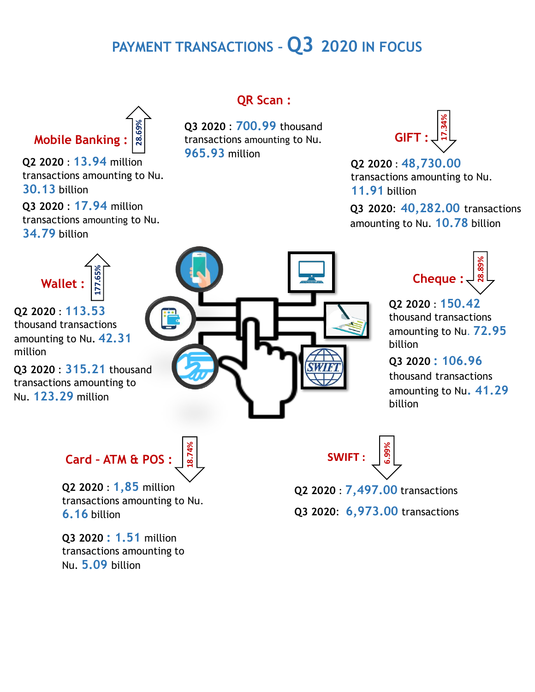# **PAYMENT TRANSACTIONS – Q3 2020 IN FOCUS**



**Q2 2020** : **13.94** million

transactions amounting to Nu. **30.13** billion

**Q3 2020** : **17.94** million transactions amounting to Nu. **34.79** billion



**Q2 2020** : **113.53** thousand transactions amounting to Nu**. 42.31**  million

**Q3 2020** : **315.21** thousand transactions amounting to Nu. **123.29** million



## **QR Scan :**

**Q3 2020** : **700.99** thousand transactions amounting to Nu. **965.93** million



**Q2 2020** : **48,730.00** transactions amounting to Nu. **11.91** billion

**Q3 2020**: **40,282.00** transactions amounting to Nu. **10.78** billion



**Q2 2020** : **150.42** thousand transactions amounting to Nu. **72.95** billion

**Q3 2020 : 106.96**  thousand transactions amounting to Nu**. 41.29**  billion



**Q2 2020** : **1,85** million transactions amounting to Nu. **6.16** billion

**Q3 2020 : 1.51** million transactions amounting to Nu. **5.09** billion

$$
SWIFT: \underbrace{\begin{bmatrix} \frac{1}{30} \\ 0 \\ 0 \\ 0 \end{bmatrix}}
$$

**Q2 2020** : **7,497.00** transactions

**Q3 2020**: **6,973.00** transactions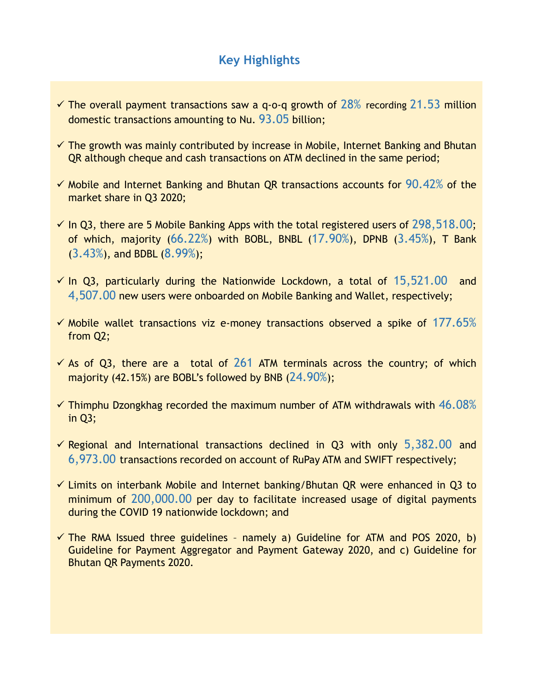## **Key Highlights**

- $\checkmark$  The overall payment transactions saw a q-o-q growth of 28% recording 21.53 million domestic transactions amounting to Nu. 93.05 billion;
- $\checkmark$  The growth was mainly contributed by increase in Mobile, Internet Banking and Bhutan QR although cheque and cash transactions on ATM declined in the same period;
- $\checkmark$  Mobile and Internet Banking and Bhutan QR transactions accounts for 90.42% of the market share in Q3 2020;
- $\checkmark$  In Q3, there are 5 Mobile Banking Apps with the total registered users of 298,518.00; of which, majority (66.22%) with BOBL, BNBL (17.90%), DPNB (3.45%), T Bank (3.43%), and BDBL (8.99%);
- $\checkmark$  In Q3, particularly during the Nationwide Lockdown, a total of 15,521.00 and 4,507.00 new users were onboarded on Mobile Banking and Wallet, respectively;
- $\checkmark$  Mobile wallet transactions viz e-money transactions observed a spike of 177.65% from Q2;
- $\checkmark$  As of Q3, there are a total of 261 ATM terminals across the country; of which majority (42.15%) are BOBL's followed by BNB (24.90%);
- $\checkmark$  Thimphu Dzongkhag recorded the maximum number of ATM withdrawals with 46.08% in Q3;
- $\checkmark$  Regional and International transactions declined in Q3 with only 5,382.00 and 6,973.00 transactions recorded on account of RuPay ATM and SWIFT respectively;
- $\checkmark$  Limits on interbank Mobile and Internet banking/Bhutan QR were enhanced in Q3 to minimum of 200,000.00 per day to facilitate increased usage of digital payments during the COVID 19 nationwide lockdown; and
- $\checkmark$  The RMA Issued three guidelines namely a) Guideline for ATM and POS 2020, b) Guideline for Payment Aggregator and Payment Gateway 2020, and c) Guideline for Bhutan QR Payments 2020.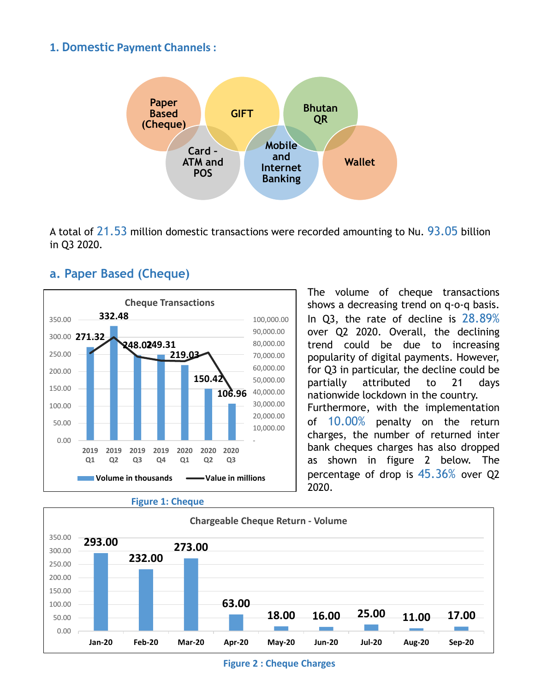#### **1. Domestic Payment Channels :**



A total of  $21.53$  million domestic transactions were recorded amounting to Nu.  $93.05$  billion in Q3 2020.

## **a. Paper Based (Cheque)**





The volume of cheque transactions shows a decreasing trend on q-o-q basis. In Q3, the rate of decline is 28.89% over Q2 2020. Overall, the declining trend could be due to increasing popularity of digital payments. However, for Q3 in particular, the decline could be partially attributed to 21 days nationwide lockdown in the country. Furthermore, with the implementation of 10.00% penalty on the return charges, the number of returned inter bank cheques charges has also dropped as shown in figure 2 below. The percentage of drop is 45.36% over Q2 2020.



**Figure 2 : Cheque Charges**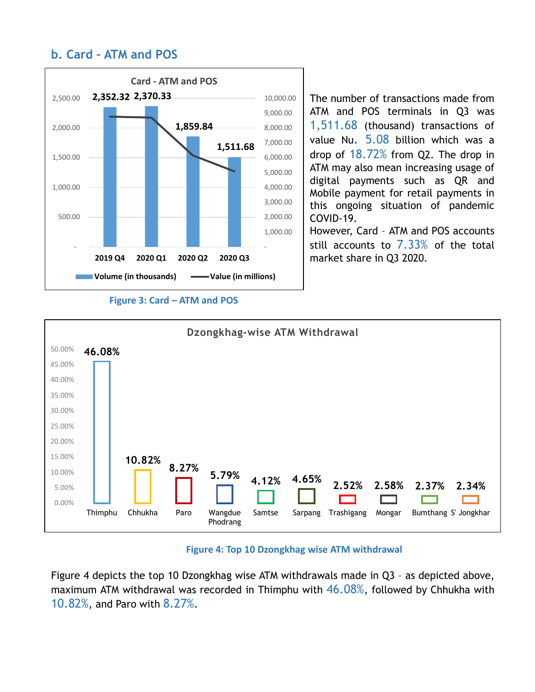## **b. Card – ATM and POS**



**Figure 3: Card – ATM and POS** 

The number of transactions made from ATM and POS terminals in Q3 was 1,511.68 (thousand) transactions of value Nu**.** 5.08 billion which was a drop of 18.72% from Q2. The drop in ATM may also mean increasing usage of digital payments such as QR and Mobile payment for retail payments in this ongoing situation of pandemic COVID-19.

However, Card – ATM and POS accounts still accounts to 7.33% of the total market share in Q3 2020.



#### **Figure 4: Top 10 Dzongkhag wise ATM withdrawal**

Figure 4 depicts the top 10 Dzongkhag wise ATM withdrawals made in Q3 – as depicted above, maximum ATM withdrawal was recorded in Thimphu with  $46.08\%$ , followed by Chhukha with 10.82%, and Paro with 8.27%.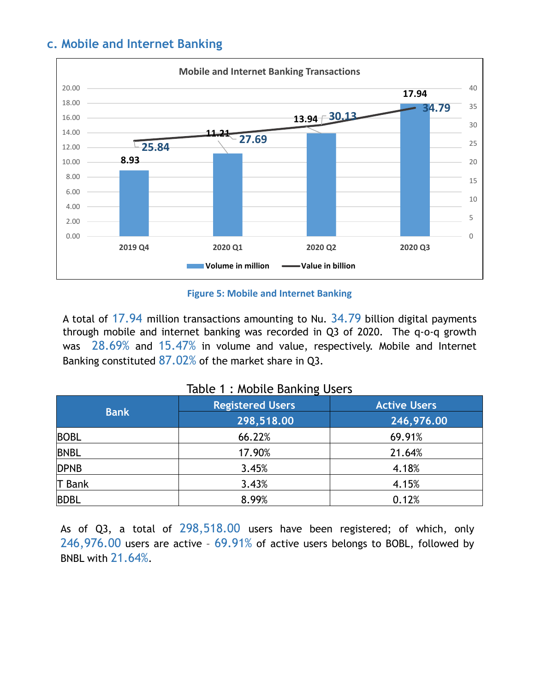## **c. Mobile and Internet Banking**



**Figure 5: Mobile and Internet Banking**

A total of 17.94 million transactions amounting to Nu. 34.79 billion digital payments through mobile and internet banking was recorded in Q3 of 2020. The q-o-q growth was 28.69% and 15.47% in volume and value, respectively. Mobile and Internet Banking constituted  $87.02\%$  of the market share in Q3.

| <b>Bank</b> | <b>Registered Users</b> | <b>Active Users</b> |  |  |  |
|-------------|-------------------------|---------------------|--|--|--|
|             | 298,518.00              | 246,976.00          |  |  |  |
| <b>BOBL</b> | 66.22%                  | 69.91%              |  |  |  |
| <b>BNBL</b> | 17.90%                  | 21.64%              |  |  |  |
| <b>DPNB</b> | 3.45%                   | 4.18%               |  |  |  |
| T Bank      | 3.43%                   | 4.15%               |  |  |  |
| <b>BDBL</b> | 8.99%                   | 0.12%               |  |  |  |

As of Q3, a total of 298,518.00 users have been registered; of which, only 246,976.00 users are active – 69.91% of active users belongs to BOBL, followed by BNBL with 21.64%.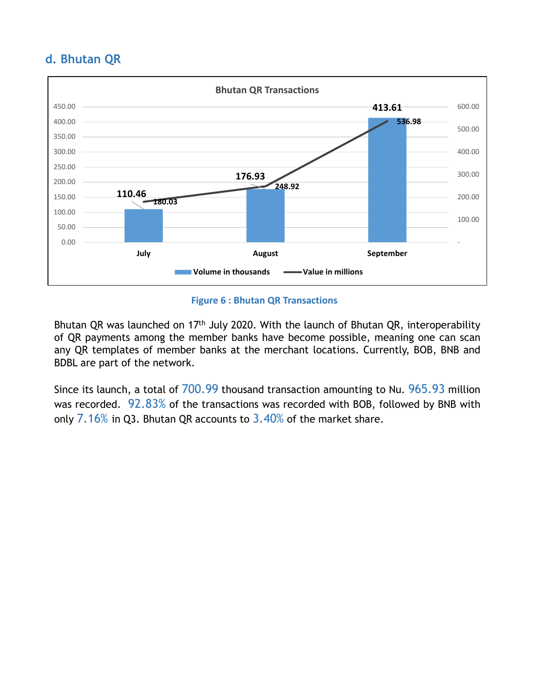## **d. Bhutan QR**



**Figure 6 : Bhutan QR Transactions**

Bhutan QR was launched on 17<sup>th</sup> July 2020. With the launch of Bhutan QR, interoperability of QR payments among the member banks have become possible, meaning one can scan any QR templates of member banks at the merchant locations. Currently, BOB, BNB and BDBL are part of the network.

Since its launch, a total of 700.99 thousand transaction amounting to Nu. 965.93 million was recorded. 92.83% of the transactions was recorded with BOB, followed by BNB with only 7.16% in Q3. Bhutan QR accounts to 3.40% of the market share.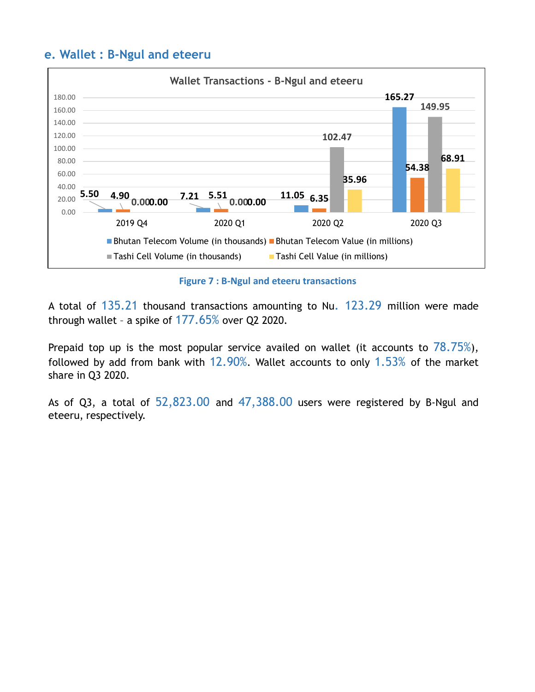## **e. Wallet : B-Ngul and eteeru**



**Figure 7 : B-Ngul and eteeru transactions**

A total of 135.21 thousand transactions amounting to Nu. 123.29 million were made through wallet - a spike of  $177.65\%$  over Q2 2020.

Prepaid top up is the most popular service availed on wallet (it accounts to  $78.75\%$ ), followed by add from bank with  $12.90\%$ . Wallet accounts to only 1.53% of the market share in Q3 2020.

As of Q3, a total of 52,823.00 and 47,388.00 users were registered by B-Ngul and eteeru, respectively.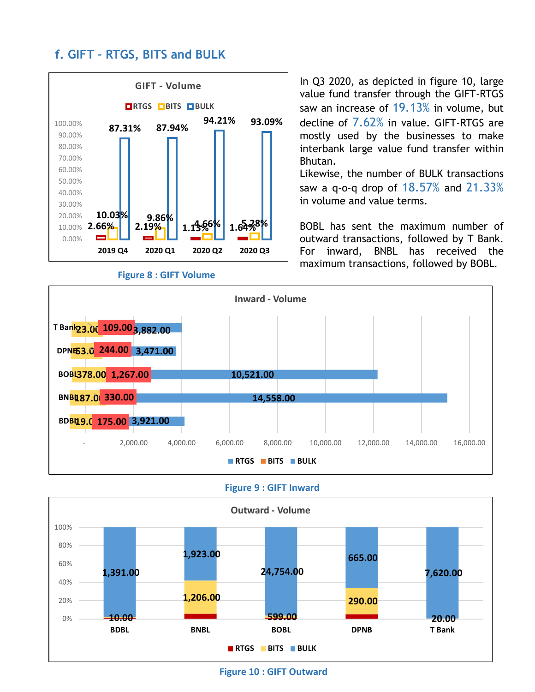## **f. GIFT – RTGS, BITS and BULK**



In Q3 2020, as depicted in figure 10, large value fund transfer through the GIFT-RTGS saw an increase of 19.13% in volume, but decline of 7.62% in value. GIFT-RTGS are mostly used by the businesses to make interbank large value fund transfer within Bhutan.

Likewise, the number of BULK transactions saw a q-o-q drop of 18.57% and 21.33% in volume and value terms.

BOBL has sent the maximum number of outward transactions, followed by T Bank. For inward, BNBL has received the maximum transactions, followed by BOBL.



**Figure 9 : GIFT Inward**



**Figure 10 : GIFT Outward**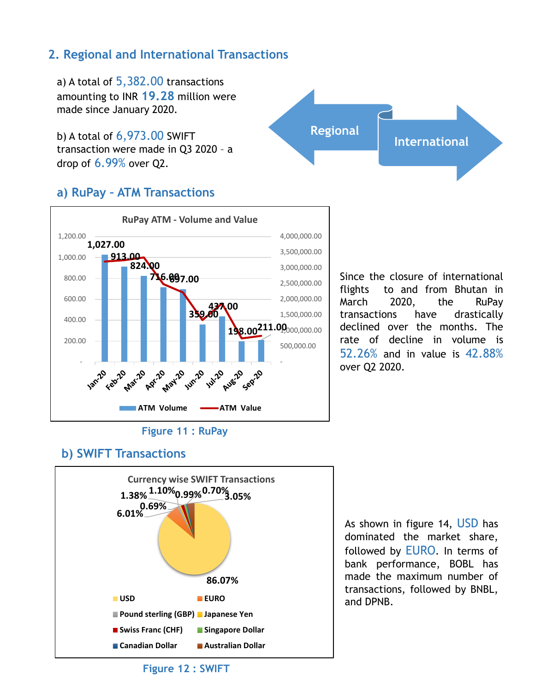## **2. Regional and International Transactions**

a) A total of 5,382.00 transactions amounting to INR **19.28** million were made since January 2020.

b) A total of 6,973.00 SWIFT transaction were made in Q3 2020 – a drop of 6.99% over Q2.

## **a) RuPay – ATM Transactions**



Since the closure of international flights to and from Bhutan in March 2020, the RuPay transactions have drastically declined over the months. The rate of decline in volume is 52.26% and in value is 42.88% over Q2 2020.

**International**

**Regional**

## **b) SWIFT Transactions**



As shown in figure 14, USD has dominated the market share, followed by EURO. In terms of bank performance, BOBL has made the maximum number of transactions, followed by BNBL, and DPNB.

**Figure 12 : SWIFT**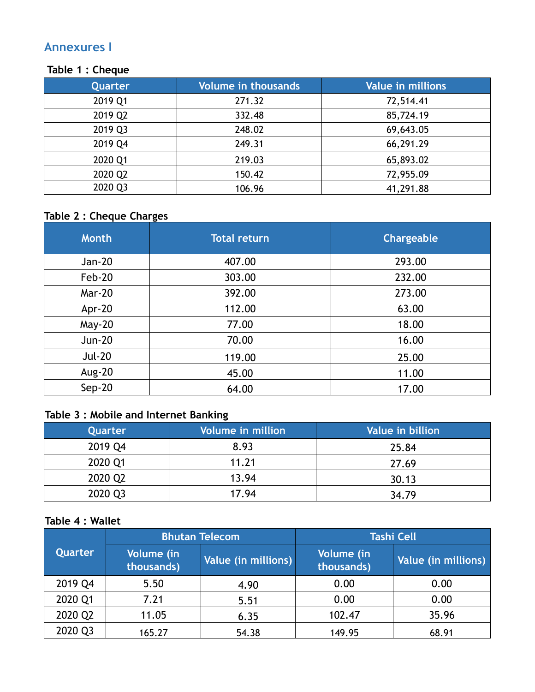## **Annexures I**

#### **Table 1 : Cheque**

| Quarter | <b>Volume in thousands</b> | <b>Value in millions</b> |
|---------|----------------------------|--------------------------|
| 2019 Q1 | 271.32                     | 72,514.41                |
| 2019 Q2 | 332.48                     | 85,724.19                |
| 2019 Q3 | 248.02                     | 69,643.05                |
| 2019 Q4 | 249.31                     | 66,291.29                |
| 2020 Q1 | 219.03                     | 65,893.02                |
| 2020 Q2 | 150.42                     | 72,955.09                |
| 2020 Q3 | 106.96                     | 41,291.88                |

## **Table 2 : Cheque Charges**

| <b>Month</b>  | <b>Total return</b> | Chargeable |
|---------------|---------------------|------------|
| Jan-20        | 407.00              | 293.00     |
| Feb-20        | 303.00              | 232.00     |
| <b>Mar-20</b> | 392.00              | 273.00     |
| Apr-20        | 112.00              | 63.00      |
| May-20        | 77.00               | 18.00      |
| <b>Jun-20</b> | 70.00               | 16.00      |
| <b>Jul-20</b> | 119.00              | 25.00      |
| <b>Aug-20</b> | 45.00               | 11.00      |
| $Sep-20$      | 64.00               | 17.00      |

## **Table 3 : Mobile and Internet Banking**

| Quarter | <b>Volume in million</b> | Value in billion |
|---------|--------------------------|------------------|
| 2019 Q4 | 8.93                     | 25.84            |
| 2020 Q1 | 11.21                    | 27.69            |
| 2020 Q2 | 13.94                    | 30.13            |
| 2020 Q3 | 17.94                    | 34.79            |

## **Table 4 : Wallet**

|         |                          | <b>Bhutan Telecom</b> | <b>Tashi Cell</b>        |                     |  |  |
|---------|--------------------------|-----------------------|--------------------------|---------------------|--|--|
| Quarter | Volume (in<br>thousands) | Value (in millions)   | Volume (in<br>thousands) | Value (in millions) |  |  |
| 2019 Q4 | 5.50                     | 4.90                  | 0.00                     | 0.00                |  |  |
| 2020 Q1 | 7.21                     | 5.51                  | 0.00                     | 0.00                |  |  |
| 2020 Q2 | 11.05                    | 6.35                  | 102.47                   | 35.96               |  |  |
| 2020 Q3 | 165.27                   | 54.38                 | 149.95                   | 68.91               |  |  |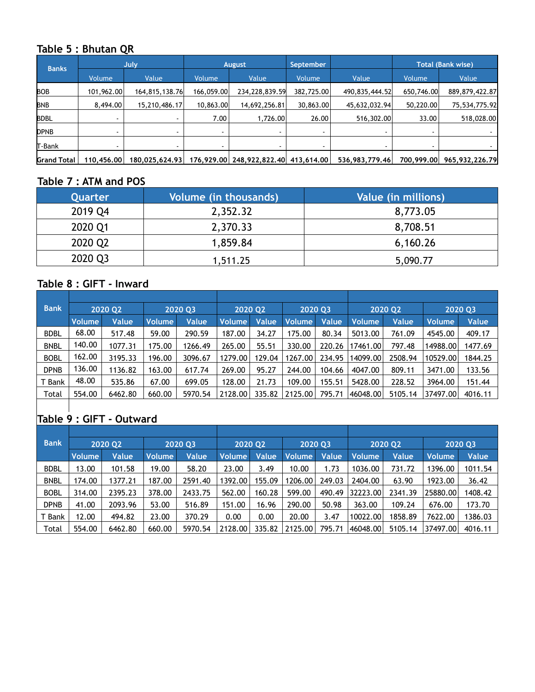### **Table 5 : Bhutan QR**

| <b>Banks</b>       | July.      |                | August         |                                      | September                |                | <b>Total (Bank wise)</b> |                |  |
|--------------------|------------|----------------|----------------|--------------------------------------|--------------------------|----------------|--------------------------|----------------|--|
|                    | Volume     | Value          | <b>Volume</b>  | Value                                | Volume                   | Value          | <b>Volume</b>            | Value          |  |
| <b>BOB</b>         | 101,962.00 | 164,815,138.76 | 166,059.00     | 234,228,839.59                       | 382,725.00               | 490,835,444.52 | 650,746.00               | 889,879,422.87 |  |
| <b>BNB</b>         | 8,494.00   | 15,210,486.17  | 10,863.00      | 14,692,256.81                        | 30,863.00                | 45,632,032.94  | 50,220.00                | 75,534,775.92  |  |
| <b>BDBL</b>        |            |                | 7.00           | 1,726.00                             | 26.00                    | 516,302.00     | 33.00                    | 518,028.00     |  |
| <b>DPNB</b>        |            |                | $\blacksquare$ |                                      | $\overline{\phantom{a}}$ |                |                          |                |  |
| T-Bank             |            |                |                |                                      |                          |                |                          |                |  |
| <b>Grand Total</b> | 110,456.00 | 180,025,624.93 |                | 176,929.00 248,922,822.40 413,614.00 |                          | 536,983,779.46 | 700,999.00               | 965,932,226.79 |  |

#### **Table 7 : ATM and POS**

| Quarter | Volume (in thousands) | Value (in millions) |
|---------|-----------------------|---------------------|
| 2019 Q4 | 2,352.32              | 8,773.05            |
| 2020 Q1 | 2,370.33              | 8,708.51            |
| 2020 Q2 | 1,859.84              | 6,160.26            |
| 2020 Q3 | 1,511.25              | 5,090.77            |

## **Table 8 : GIFT - Inward**

| 2020 03       |         | <b>2020 Q2</b> |              | 2020 Q3 |        | <b>2020 Q2</b> |              | 2020 Q3       |         |
|---------------|---------|----------------|--------------|---------|--------|----------------|--------------|---------------|---------|
| <b>Volume</b> | Value   | <b>Volume</b>  | <b>Value</b> | Volume  | Value  | Volume         | <b>Value</b> | <b>Volume</b> | Value   |
| 59.00         | 290.59  | 187.00         | 34.27        | 175.00  | 80.34  | 5013.00        | 761.09       | 4545.00       | 409.17  |
| 175.00        | 1266.49 | 265.00         | 55.51        | 330.00  | 220.26 | 17461.00       | 797.48       | 14988.00      | 1477.69 |
| 196.00        | 3096.67 | 1279.00        | 129.04       | 1267.00 | 234.95 | 14099.00       | 2508.94      | 10529.00      | 1844.25 |
| 163.00        | 617.74  | 269.00         | 95.27        | 244.00  | 104.66 | 4047.00        | 809.11       | 3471.00       | 133.56  |
| 67.00         | 699.05  | 128.00         | 21.73        | 109.00  | 155.51 | 5428.00        | 228.52       | 3964.00       | 151.44  |
| 660.00        | 5970.54 | 2128.00        | 335.82       |         | 795.71 |                | 5105.14      | 37497.00      | 4016.11 |
|               |         |                |              |         |        | 2125.00        | :46048.00    |               |         |

## **Table 9 : GIFT - Outward**

| <b>Bank</b> | 2020 02 |         | 2020 Q3       |         | <b>2020 Q2</b> |              | 2020 Q3 |        | <b>2020 Q2</b> |              | 2020 Q3       |         |
|-------------|---------|---------|---------------|---------|----------------|--------------|---------|--------|----------------|--------------|---------------|---------|
|             | Volume  | Value   | <b>Volume</b> | Value   | <b>Volume</b>  | <b>Value</b> | Volume  | Value  | Volume         | <b>Value</b> | <b>Volume</b> | Value   |
| <b>BDBL</b> | 13.00   | 101.58  | 19.00         | 58.20   | 23.00          | 3.49         | 10.00   | 1.73   | 1036.00        | 731.72       | 1396.00       | 1011.54 |
| <b>BNBL</b> | 174.00  | 1377.21 | 187.00        | 2591.40 | 1392.00        | 155.09       | 1206.00 | 249.03 | 2404.00        | 63.90        | 1923.00       | 36.42   |
| <b>BOBL</b> | 314.00  | 2395.23 | 378.00        | 2433.75 | 562.00         | 160.28       | 599.00  | 490.49 | 32223.00       | 2341.39      | 25880.00      | 1408.42 |
| <b>DPNB</b> | 41.00   | 2093.96 | 53.00         | 516.89  | 151.00         | 16.96        | 290.00  | 50.98  | 363.00         | 109.24       | 676.00        | 173.70  |
| T Bank      | 12.00   | 494.82  | 23.00         | 370.29  | 0.00           | 0.00         | 20.00   | 3.47   | 10022.00       | 1858.89      | 7622.00       | 386.03  |
| Total       | 554.00  | 6462.80 | 660.00        | 5970.54 | 2128.00        | 335.82       | 2125.00 | 795.71 | 46048.00       | 5105.14      | 37497.00      | 4016.11 |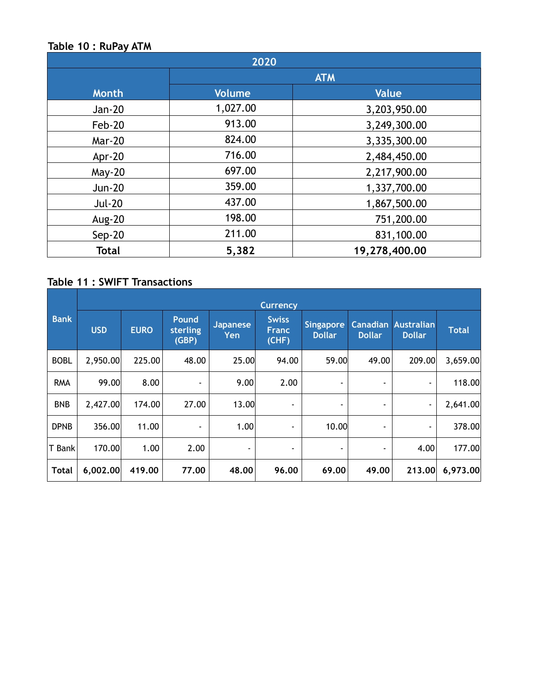### **Table 10 : RuPay ATM**

| 2020          |               |               |  |  |  |  |  |
|---------------|---------------|---------------|--|--|--|--|--|
|               | <b>ATM</b>    |               |  |  |  |  |  |
| <b>Month</b>  | <b>Volume</b> | <b>Value</b>  |  |  |  |  |  |
| Jan-20        | 1,027.00      | 3,203,950.00  |  |  |  |  |  |
| Feb-20        | 913.00        | 3,249,300.00  |  |  |  |  |  |
| <b>Mar-20</b> | 824.00        | 3,335,300.00  |  |  |  |  |  |
| Apr-20        | 716.00        | 2,484,450.00  |  |  |  |  |  |
| <b>May-20</b> | 697.00        | 2,217,900.00  |  |  |  |  |  |
| <b>Jun-20</b> | 359.00        | 1,337,700.00  |  |  |  |  |  |
| <b>Jul-20</b> | 437.00        | 1,867,500.00  |  |  |  |  |  |
| <b>Aug-20</b> | 198.00        | 751,200.00    |  |  |  |  |  |
| $Sep-20$      | 211.00        | 831,100.00    |  |  |  |  |  |
| <b>Total</b>  | 5,382         | 19,278,400.00 |  |  |  |  |  |

## **Table 11 : SWIFT Transactions**

|              | <b>Currency</b> |             |                                   |                        |                                       |                                   |                                  |                                    |              |  |  |  |
|--------------|-----------------|-------------|-----------------------------------|------------------------|---------------------------------------|-----------------------------------|----------------------------------|------------------------------------|--------------|--|--|--|
| <b>Bank</b>  | <b>USD</b>      | <b>EURO</b> | <b>Pound</b><br>sterling<br>(GBP) | <b>Japanese</b><br>Yen | <b>Swiss</b><br><b>Franc</b><br>(CHF) | <b>Singapore</b><br><b>Dollar</b> | <b>Canadian</b><br><b>Dollar</b> | <b>Australian</b><br><b>Dollar</b> | <b>Total</b> |  |  |  |
| <b>BOBL</b>  | 2,950.00        | 225.00      | 48.00                             | 25.00                  | 94.00                                 | 59.00                             | 49.00                            | 209.00                             | 3,659.00     |  |  |  |
| <b>RMA</b>   | 99.00           | 8.00        | ٠                                 | 9.00                   | 2.00                                  | ٠                                 |                                  | ٠                                  | 118.00       |  |  |  |
| <b>BNB</b>   | 2,427.00        | 174.00      | 27.00                             | 13.00                  | ٠                                     |                                   |                                  | ٠                                  | 2,641.00     |  |  |  |
| <b>DPNB</b>  | 356.00          | 11.00       | ۰                                 | 1.00                   | ٠                                     | 10.00                             | ۰                                | ٠                                  | 378.00       |  |  |  |
| T Bank       | 170.00          | 1.00        | 2.00                              | ٠                      | ٠                                     | ٠                                 | ٠                                | 4.00                               | 177.00       |  |  |  |
| <b>Total</b> | 6,002.00        | 419.00      | 77.00                             | 48.00                  | 96.00                                 | 69.00                             | 49.00                            | 213.00                             | 6,973.00     |  |  |  |